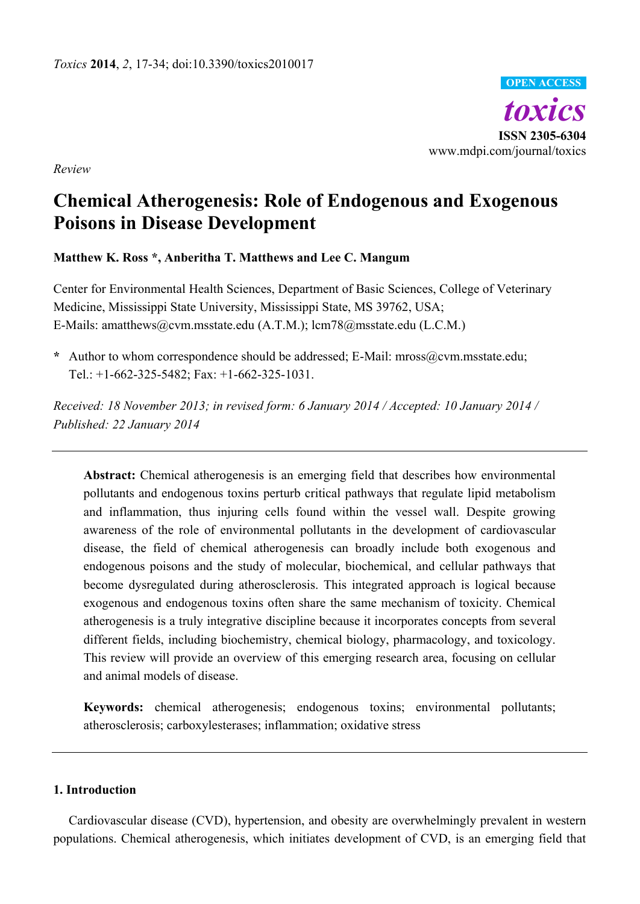*toxics* **ISSN 2305-6304** www.mdpi.com/journal/toxics **OPEN ACCESS**

*Review*

# **Chemical Atherogenesis: Role of Endogenous and Exogenous Poisons in Disease Development**

# **Matthew K. Ross \*, Anberitha T. Matthews and Lee C. Mangum**

Center for Environmental Health Sciences, Department of Basic Sciences, College of Veterinary Medicine, Mississippi State University, Mississippi State, MS 39762, USA; E-Mails: amatthews@cvm.msstate.edu (A.T.M.); lcm78@msstate.edu (L.C.M.)

**\*** Author to whom correspondence should be addressed; E-Mail: mross@cvm.msstate.edu; Tel.: +1-662-325-5482; Fax: +1-662-325-1031.

*Received: 18 November 2013; in revised form: 6 January 2014 / Accepted: 10 January 2014 / Published: 22 January 2014*

**Abstract:** Chemical atherogenesis is an emerging field that describes how environmental pollutants and endogenous toxins perturb critical pathways that regulate lipid metabolism and inflammation, thus injuring cells found within the vessel wall. Despite growing awareness of the role of environmental pollutants in the development of cardiovascular disease, the field of chemical atherogenesis can broadly include both exogenous and endogenous poisons and the study of molecular, biochemical, and cellular pathways that become dysregulated during atherosclerosis. This integrated approach is logical because exogenous and endogenous toxins often share the same mechanism of toxicity. Chemical atherogenesis is a truly integrative discipline because it incorporates concepts from several different fields, including biochemistry, chemical biology, pharmacology, and toxicology. This review will provide an overview of this emerging research area, focusing on cellular and animal models of disease.

**Keywords:** chemical atherogenesis; endogenous toxins; environmental pollutants; atherosclerosis; carboxylesterases; inflammation; oxidative stress

## **1. Introduction**

Cardiovascular disease (CVD), hypertension, and obesity are overwhelmingly prevalent in western populations. Chemical atherogenesis, which initiates development of CVD, is an emerging field that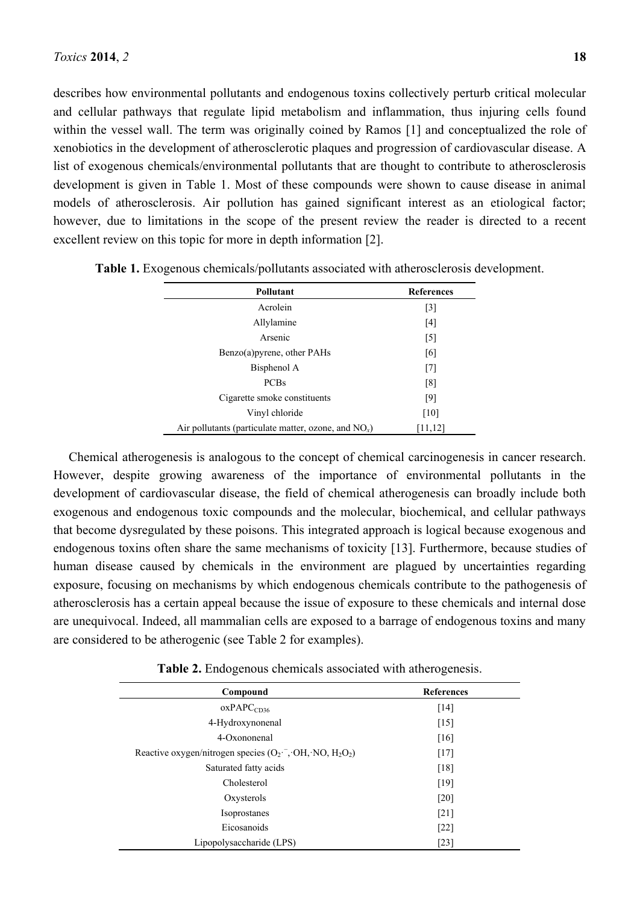describes how environmental pollutants and endogenous toxins collectively perturb critical molecular and cellular pathways that regulate lipid metabolism and inflammation, thus injuring cells found within the vessel wall. The term was originally coined by Ramos [1] and conceptualized the role of xenobiotics in the development of atherosclerotic plaques and progression of cardiovascular disease. A list of exogenous chemicals/environmental pollutants that are thought to contribute to atherosclerosis development is given in Table 1. Most of these compounds were shown to cause disease in animal models of atherosclerosis. Air pollution has gained significant interest as an etiological factor; however, due to limitations in the scope of the present review the reader is directed to a recent excellent review on this topic for more in depth information [2].

| Pollutant                                               | <b>References</b> |
|---------------------------------------------------------|-------------------|
| Acrolein                                                | $\lceil 3 \rceil$ |
| Allylamine                                              | [4]               |
| Arsenic                                                 | $\lceil 5 \rceil$ |
| Benzo(a) pyrene, other PAHs                             | [6]               |
| Bisphenol A                                             | [7]               |
| <b>PCBs</b>                                             | [8]               |
| Cigarette smoke constituents                            | [9]               |
| Vinyl chloride                                          | [10]              |
| Air pollutants (particulate matter, ozone, and $NO_x$ ) | [11, 12]          |

**Table 1.** Exogenous chemicals/pollutants associated with atherosclerosis development.

Chemical atherogenesis is analogous to the concept of chemical carcinogenesis in cancer research. However, despite growing awareness of the importance of environmental pollutants in the development of cardiovascular disease, the field of chemical atherogenesis can broadly include both exogenous and endogenous toxic compounds and the molecular, biochemical, and cellular pathways that become dysregulated by these poisons. This integrated approach is logical because exogenous and endogenous toxins often share the same mechanisms of toxicity [13]. Furthermore, because studies of human disease caused by chemicals in the environment are plagued by uncertainties regarding exposure, focusing on mechanisms by which endogenous chemicals contribute to the pathogenesis of atherosclerosis has a certain appeal because the issue of exposure to these chemicals and internal dose are unequivocal. Indeed, all mammalian cells are exposed to a barrage of endogenous toxins and many are considered to be atherogenic (see Table 2 for examples).

| Compound                                                   | <b>References</b>  |
|------------------------------------------------------------|--------------------|
| oxPAPC <sub>CD36</sub>                                     | [14]               |
| 4-Hydroxynonenal                                           | $[15]$             |
| 4-Oxononenal                                               | [16]               |
| Reactive oxygen/nitrogen species $(O_2^-, OH, NO, H_2O_2)$ | $[17]$             |
| Saturated fatty acids                                      | $\lceil 18 \rceil$ |
| Cholesterol                                                | $[19]$             |
| Oxysterols                                                 | [20]               |
| Isoprostanes                                               | $[21]$             |
| Eicosanoids                                                | $[22]$             |
| Lipopolysaccharide (LPS)                                   | [23]               |

**Table 2.** Endogenous chemicals associated with atherogenesis.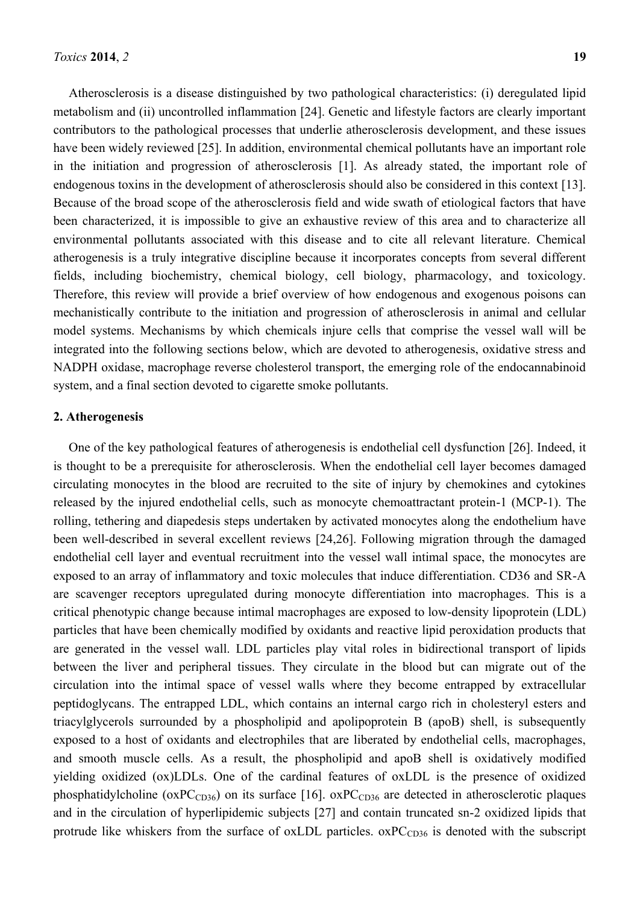Atherosclerosis is a disease distinguished by two pathological characteristics: (i) deregulated lipid metabolism and (ii) uncontrolled inflammation [24]. Genetic and lifestyle factors are clearly important contributors to the pathological processes that underlie atherosclerosis development, and these issues have been widely reviewed [25]. In addition, environmental chemical pollutants have an important role in the initiation and progression of atherosclerosis [1]. As already stated, the important role of endogenous toxins in the development of atherosclerosis should also be considered in this context [13]. Because of the broad scope of the atherosclerosis field and wide swath of etiological factors that have been characterized, it is impossible to give an exhaustive review of this area and to characterize all environmental pollutants associated with this disease and to cite all relevant literature. Chemical atherogenesis is a truly integrative discipline because it incorporates concepts from several different fields, including biochemistry, chemical biology, cell biology, pharmacology, and toxicology. Therefore, this review will provide a brief overview of how endogenous and exogenous poisons can mechanistically contribute to the initiation and progression of atherosclerosis in animal and cellular model systems. Mechanisms by which chemicals injure cells that comprise the vessel wall will be integrated into the following sections below, which are devoted to atherogenesis, oxidative stress and NADPH oxidase, macrophage reverse cholesterol transport, the emerging role of the endocannabinoid system, and a final section devoted to cigarette smoke pollutants.

# **2. Atherogenesis**

One of the key pathological features of atherogenesis is endothelial cell dysfunction [26]. Indeed, it is thought to be a prerequisite for atherosclerosis. When the endothelial cell layer becomes damaged circulating monocytes in the blood are recruited to the site of injury by chemokines and cytokines released by the injured endothelial cells, such as monocyte chemoattractant protein-1 (MCP-1). The rolling, tethering and diapedesis steps undertaken by activated monocytes along the endothelium have been well-described in several excellent reviews [24,26]. Following migration through the damaged endothelial cell layer and eventual recruitment into the vessel wall intimal space, the monocytes are exposed to an array of inflammatory and toxic molecules that induce differentiation. CD36 and SR-A are scavenger receptors upregulated during monocyte differentiation into macrophages. This is a critical phenotypic change because intimal macrophages are exposed to low-density lipoprotein (LDL) particles that have been chemically modified by oxidants and reactive lipid peroxidation products that are generated in the vessel wall. LDL particles play vital roles in bidirectional transport of lipids between the liver and peripheral tissues. They circulate in the blood but can migrate out of the circulation into the intimal space of vessel walls where they become entrapped by extracellular peptidoglycans. The entrapped LDL, which contains an internal cargo rich in cholesteryl esters and triacylglycerols surrounded by a phospholipid and apolipoprotein B (apoB) shell, is subsequently exposed to a host of oxidants and electrophiles that are liberated by endothelial cells, macrophages, and smooth muscle cells. As a result, the phospholipid and apoB shell is oxidatively modified yielding oxidized (ox)LDLs. One of the cardinal features of oxLDL is the presence of oxidized phosphatidylcholine ( $\alpha$ PC<sub>CD36</sub>) on its surface [16].  $\alpha$ PC<sub>CD36</sub> are detected in atherosclerotic plaques and in the circulation of hyperlipidemic subjects [27] and contain truncated sn-2 oxidized lipids that protrude like whiskers from the surface of oxLDL particles.  $oxPC<sub>CD36</sub>$  is denoted with the subscript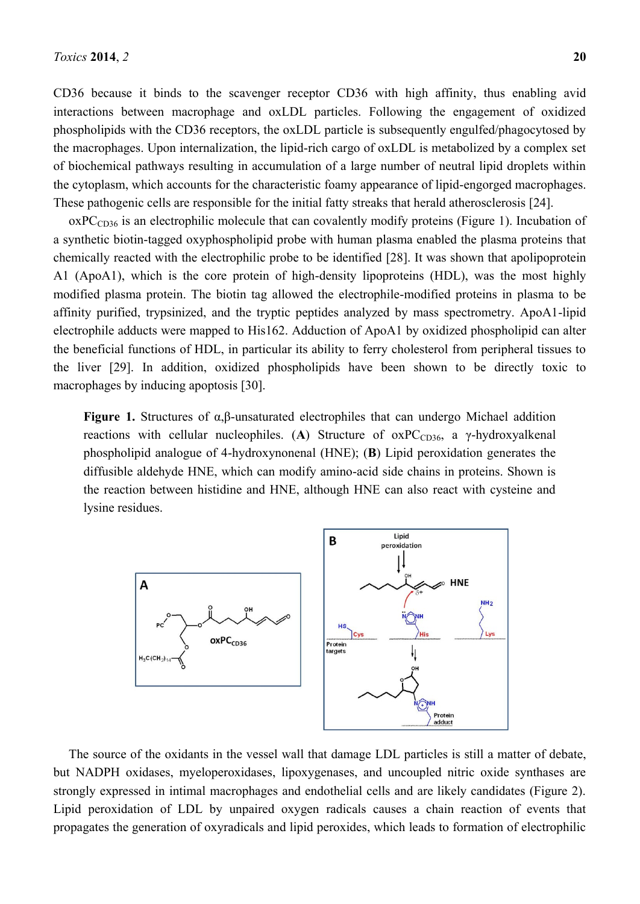CD36 because it binds to the scavenger receptor CD36 with high affinity, thus enabling avid interactions between macrophage and oxLDL particles. Following the engagement of oxidized phospholipids with the CD36 receptors, the oxLDL particle is subsequently engulfed/phagocytosed by the macrophages. Upon internalization, the lipid-rich cargo of oxLDL is metabolized by a complex set of biochemical pathways resulting in accumulation of a large number of neutral lipid droplets within the cytoplasm, which accounts for the characteristic foamy appearance of lipid-engorged macrophages. These pathogenic cells are responsible for the initial fatty streaks that herald atherosclerosis [24].

 $oxPC<sub>CD36</sub>$  is an electrophilic molecule that can covalently modify proteins (Figure 1). Incubation of a synthetic biotin-tagged oxyphospholipid probe with human plasma enabled the plasma proteins that chemically reacted with the electrophilic probe to be identified [28]. It was shown that apolipoprotein A1 (ApoA1), which is the core protein of high-density lipoproteins (HDL), was the most highly modified plasma protein. The biotin tag allowed the electrophile-modified proteins in plasma to be affinity purified, trypsinized, and the tryptic peptides analyzed by mass spectrometry. ApoA1-lipid electrophile adducts were mapped to His162. Adduction of ApoA1 by oxidized phospholipid can alter the beneficial functions of HDL, in particular its ability to ferry cholesterol from peripheral tissues to the liver [29]. In addition, oxidized phospholipids have been shown to be directly toxic to macrophages by inducing apoptosis [30].

**Figure 1.** Structures of α,β-unsaturated electrophiles that can undergo Michael addition reactions with cellular nucleophiles. (A) Structure of  $oxPC<sub>CD36</sub>$ , a  $\gamma$ -hydroxyalkenal phospholipid analogue of 4-hydroxynonenal (HNE); (**B**) Lipid peroxidation generates the diffusible aldehyde HNE, which can modify amino-acid side chains in proteins. Shown is the reaction between histidine and HNE, although HNE can also react with cysteine and lysine residues.



The source of the oxidants in the vessel wall that damage LDL particles is still a matter of debate, but NADPH oxidases, myeloperoxidases, lipoxygenases, and uncoupled nitric oxide synthases are strongly expressed in intimal macrophages and endothelial cells and are likely candidates (Figure 2). Lipid peroxidation of LDL by unpaired oxygen radicals causes a chain reaction of events that propagates the generation of oxyradicals and lipid peroxides, which leads to formation of electrophilic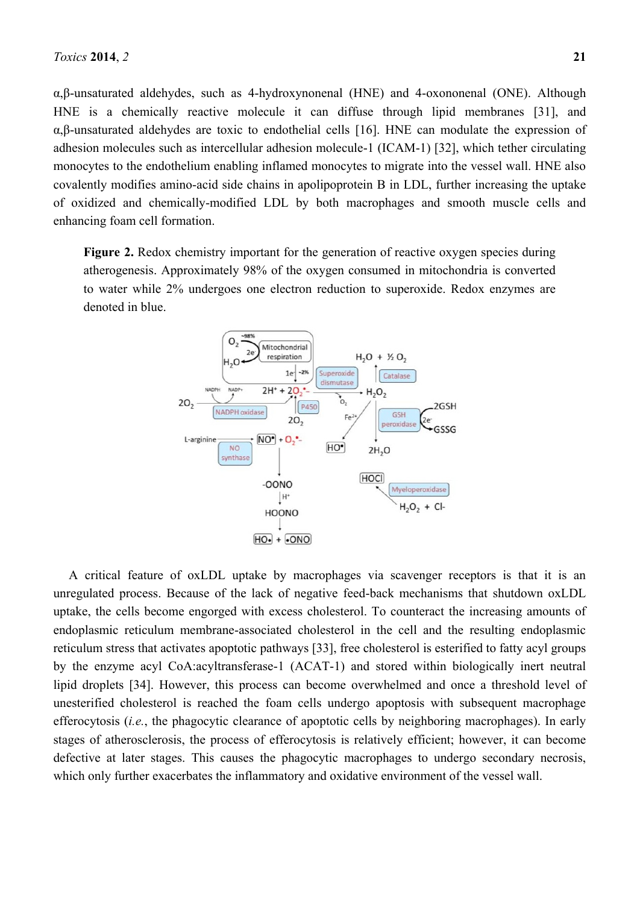α,β-unsaturated aldehydes, such as 4-hydroxynonenal (HNE) and 4-oxononenal (ONE). Although HNE is a chemically reactive molecule it can diffuse through lipid membranes [31], and α,β-unsaturated aldehydes are toxic to endothelial cells [16]. HNE can modulate the expression of adhesion molecules such as intercellular adhesion molecule-1 (ICAM-1) [32], which tether circulating monocytes to the endothelium enabling inflamed monocytes to migrate into the vessel wall. HNE also covalently modifies amino-acid side chains in apolipoprotein B in LDL, further increasing the uptake of oxidized and chemically-modified LDL by both macrophages and smooth muscle cells and enhancing foam cell formation.

**Figure 2.** Redox chemistry important for the generation of reactive oxygen species during atherogenesis. Approximately 98% of the oxygen consumed in mitochondria is converted to water while 2% undergoes one electron reduction to superoxide. Redox enzymes are denoted in blue.



A critical feature of oxLDL uptake by macrophages via scavenger receptors is that it is an unregulated process. Because of the lack of negative feed-back mechanisms that shutdown oxLDL uptake, the cells become engorged with excess cholesterol. To counteract the increasing amounts of endoplasmic reticulum membrane-associated cholesterol in the cell and the resulting endoplasmic reticulum stress that activates apoptotic pathways [33], free cholesterol is esterified to fatty acyl groups by the enzyme acyl CoA:acyltransferase-1 (ACAT-1) and stored within biologically inert neutral lipid droplets [34]. However, this process can become overwhelmed and once a threshold level of unesterified cholesterol is reached the foam cells undergo apoptosis with subsequent macrophage efferocytosis (*i.e.*, the phagocytic clearance of apoptotic cells by neighboring macrophages). In early stages of atherosclerosis, the process of efferocytosis is relatively efficient; however, it can become defective at later stages. This causes the phagocytic macrophages to undergo secondary necrosis, which only further exacerbates the inflammatory and oxidative environment of the vessel wall.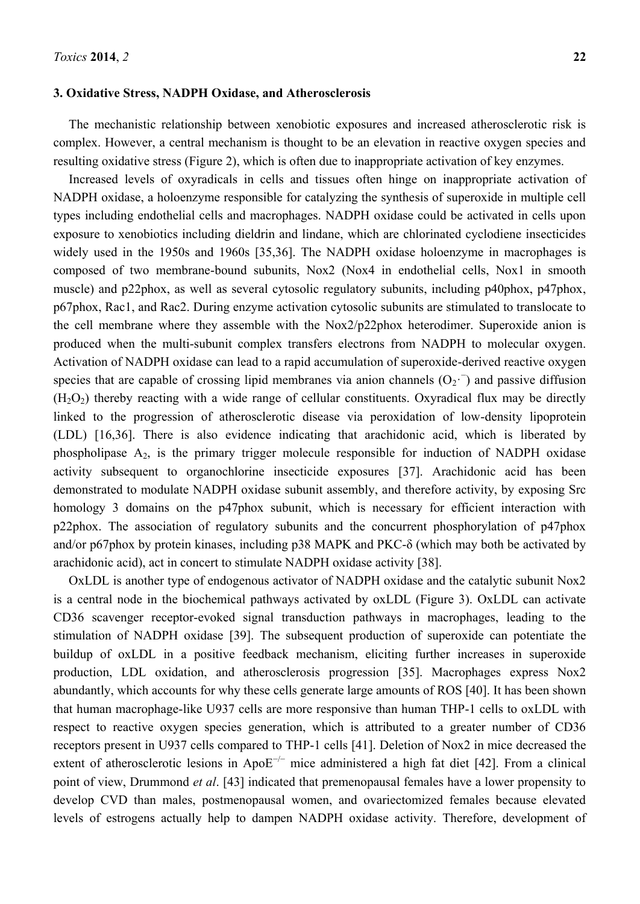#### **3. Oxidative Stress, NADPH Oxidase, and Atherosclerosis**

The mechanistic relationship between xenobiotic exposures and increased atherosclerotic risk is complex. However, a central mechanism is thought to be an elevation in reactive oxygen species and resulting oxidative stress (Figure 2), which is often due to inappropriate activation of key enzymes.

Increased levels of oxyradicals in cells and tissues often hinge on inappropriate activation of NADPH oxidase, a holoenzyme responsible for catalyzing the synthesis of superoxide in multiple cell types including endothelial cells and macrophages. NADPH oxidase could be activated in cells upon exposure to xenobiotics including dieldrin and lindane, which are chlorinated cyclodiene insecticides widely used in the 1950s and 1960s [35,36]. The NADPH oxidase holoenzyme in macrophages is composed of two membrane-bound subunits, Nox2 (Nox4 in endothelial cells, Nox1 in smooth muscle) and p22phox, as well as several cytosolic regulatory subunits, including p40phox, p47phox, p67phox, Rac1, and Rac2. During enzyme activation cytosolic subunits are stimulated to translocate to the cell membrane where they assemble with the Nox2/p22phox heterodimer. Superoxide anion is produced when the multi-subunit complex transfers electrons from NADPH to molecular oxygen. Activation of NADPH oxidase can lead to a rapid accumulation of superoxide-derived reactive oxygen species that are capable of crossing lipid membranes via anion channels  $(O_2)$  and passive diffusion  $(H<sub>2</sub>O<sub>2</sub>)$  thereby reacting with a wide range of cellular constituents. Oxyradical flux may be directly linked to the progression of atherosclerotic disease via peroxidation of low-density lipoprotein (LDL) [16,36]. There is also evidence indicating that arachidonic acid, which is liberated by phospholipase A2, is the primary trigger molecule responsible for induction of NADPH oxidase activity subsequent to organochlorine insecticide exposures [37]. Arachidonic acid has been demonstrated to modulate NADPH oxidase subunit assembly, and therefore activity, by exposing Src homology 3 domains on the p47phox subunit, which is necessary for efficient interaction with p22phox. The association of regulatory subunits and the concurrent phosphorylation of p47phox and/or p67phox by protein kinases, including p38 MAPK and PKC-δ (which may both be activated by arachidonic acid), act in concert to stimulate NADPH oxidase activity [38].

OxLDL is another type of endogenous activator of NADPH oxidase and the catalytic subunit Nox2 is a central node in the biochemical pathways activated by oxLDL (Figure 3). OxLDL can activate CD36 scavenger receptor-evoked signal transduction pathways in macrophages, leading to the stimulation of NADPH oxidase [39]. The subsequent production of superoxide can potentiate the buildup of oxLDL in a positive feedback mechanism, eliciting further increases in superoxide production, LDL oxidation, and atherosclerosis progression [35]. Macrophages express Nox2 abundantly, which accounts for why these cells generate large amounts of ROS [40]. It has been shown that human macrophage-like U937 cells are more responsive than human THP-1 cells to oxLDL with respect to reactive oxygen species generation, which is attributed to a greater number of CD36 receptors present in U937 cells compared to THP-1 cells [41]. Deletion of Nox2 in mice decreased the extent of atherosclerotic lesions in Apo $E^{-/-}$  mice administered a high fat diet [42]. From a clinical point of view, Drummond *et al*. [43] indicated that premenopausal females have a lower propensity to develop CVD than males, postmenopausal women, and ovariectomized females because elevated levels of estrogens actually help to dampen NADPH oxidase activity. Therefore, development of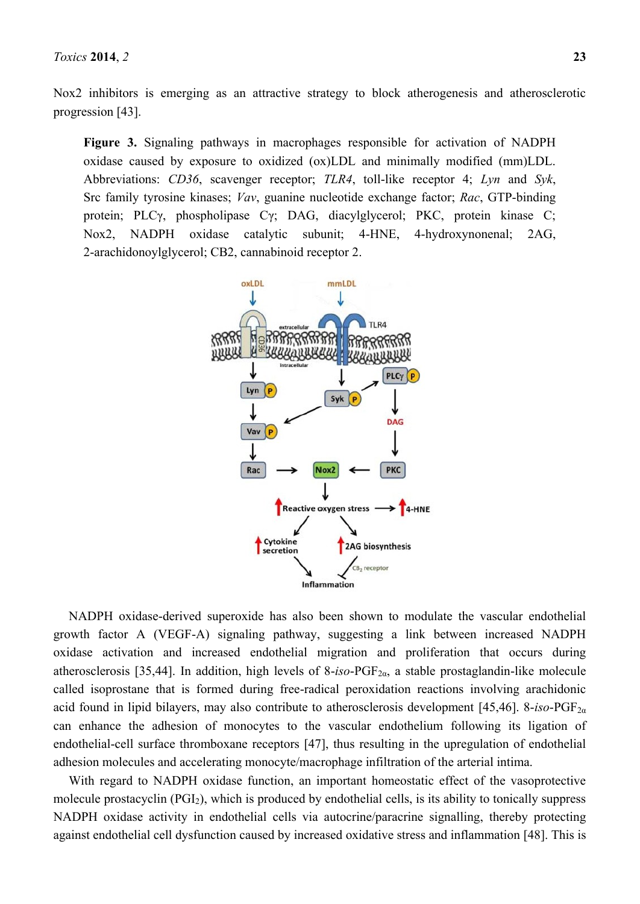Nox2 inhibitors is emerging as an attractive strategy to block atherogenesis and atherosclerotic progression [43].

**Figure 3.** Signaling pathways in macrophages responsible for activation of NADPH oxidase caused by exposure to oxidized (ox)LDL and minimally modified (mm)LDL. Abbreviations: *CD36*, scavenger receptor; *TLR4*, toll-like receptor 4; *Lyn* and *Syk*, Src family tyrosine kinases; *Vav*, guanine nucleotide exchange factor; *Rac*, GTP-binding protein; PLCγ, phospholipase Cγ; DAG, diacylglycerol; PKC, protein kinase C; Nox2, NADPH oxidase catalytic subunit; 4-HNE, 4-hydroxynonenal; 2AG, 2-arachidonoylglycerol; CB2, cannabinoid receptor 2.



NADPH oxidase-derived superoxide has also been shown to modulate the vascular endothelial growth factor A (VEGF-A) signaling pathway, suggesting a link between increased NADPH oxidase activation and increased endothelial migration and proliferation that occurs during atherosclerosis [35,44]. In addition, high levels of 8-*iso*-PGF<sub>2α</sub>, a stable prostaglandin-like molecule called isoprostane that is formed during free-radical peroxidation reactions involving arachidonic acid found in lipid bilayers, may also contribute to atherosclerosis development [45,46]. 8-*iso*-PGF2α can enhance the adhesion of monocytes to the vascular endothelium following its ligation of endothelial-cell surface thromboxane receptors [47], thus resulting in the upregulation of endothelial adhesion molecules and accelerating monocyte/macrophage infiltration of the arterial intima.

With regard to NADPH oxidase function, an important homeostatic effect of the vasoprotective molecule prostacyclin (PGI2), which is produced by endothelial cells, is its ability to tonically suppress NADPH oxidase activity in endothelial cells via autocrine/paracrine signalling, thereby protecting against endothelial cell dysfunction caused by increased oxidative stress and inflammation [48]. This is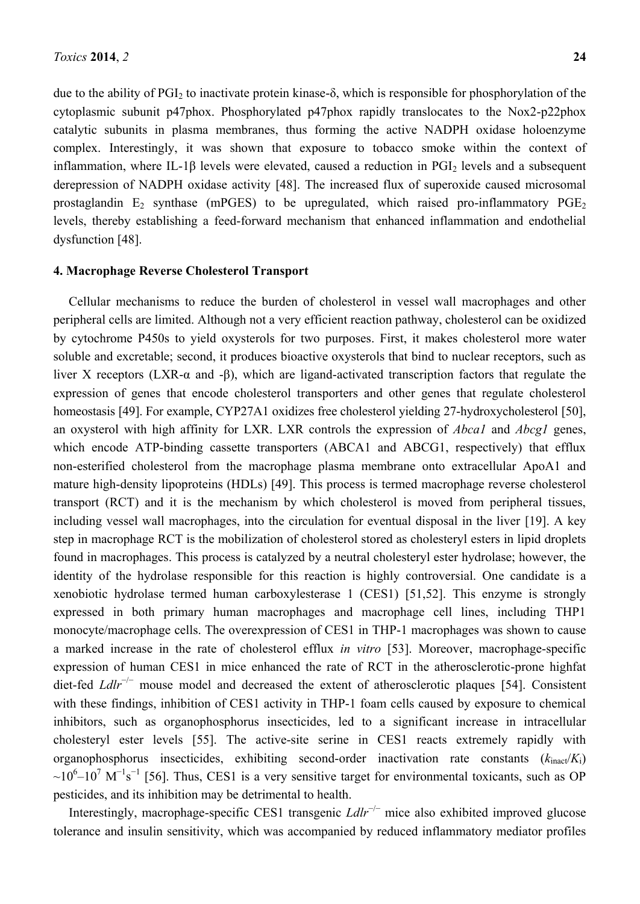due to the ability of PGI<sub>2</sub> to inactivate protein kinase- $\delta$ , which is responsible for phosphorylation of the cytoplasmic subunit p47phox. Phosphorylated p47phox rapidly translocates to the Nox2-p22phox catalytic subunits in plasma membranes, thus forming the active NADPH oxidase holoenzyme complex. Interestingly, it was shown that exposure to tobacco smoke within the context of inflammation, where IL-1 $\beta$  levels were elevated, caused a reduction in PGI<sub>2</sub> levels and a subsequent derepression of NADPH oxidase activity [48]. The increased flux of superoxide caused microsomal prostaglandin  $E_2$  synthase (mPGES) to be upregulated, which raised pro-inflammatory  $PGE_2$ levels, thereby establishing a feed-forward mechanism that enhanced inflammation and endothelial dysfunction [48].

#### **4. Macrophage Reverse Cholesterol Transport**

Cellular mechanisms to reduce the burden of cholesterol in vessel wall macrophages and other peripheral cells are limited. Although not a very efficient reaction pathway, cholesterol can be oxidized by cytochrome P450s to yield oxysterols for two purposes. First, it makes cholesterol more water soluble and excretable; second, it produces bioactive oxysterols that bind to nuclear receptors, such as liver X receptors (LXR-α and -β), which are ligand-activated transcription factors that regulate the expression of genes that encode cholesterol transporters and other genes that regulate cholesterol homeostasis [49]. For example, CYP27A1 oxidizes free cholesterol yielding 27-hydroxycholesterol [50], an oxysterol with high affinity for LXR. LXR controls the expression of *Abca1* and *Abcg1* genes, which encode ATP-binding cassette transporters (ABCA1 and ABCG1, respectively) that efflux non-esterified cholesterol from the macrophage plasma membrane onto extracellular ApoA1 and mature high-density lipoproteins (HDLs) [49]. This process is termed macrophage reverse cholesterol transport (RCT) and it is the mechanism by which cholesterol is moved from peripheral tissues, including vessel wall macrophages, into the circulation for eventual disposal in the liver [19]. A key step in macrophage RCT is the mobilization of cholesterol stored as cholesteryl esters in lipid droplets found in macrophages. This process is catalyzed by a neutral cholesteryl ester hydrolase; however, the identity of the hydrolase responsible for this reaction is highly controversial. One candidate is a xenobiotic hydrolase termed human carboxylesterase 1 (CES1) [51,52]. This enzyme is strongly expressed in both primary human macrophages and macrophage cell lines, including THP1 monocyte/macrophage cells. The overexpression of CES1 in THP-1 macrophages was shown to cause a marked increase in the rate of cholesterol efflux *in vitro* [53]. Moreover, macrophage-specific expression of human CES1 in mice enhanced the rate of RCT in the atherosclerotic-prone highfat diet-fed *Ldlr*−/− mouse model and decreased the extent of atherosclerotic plaques [54]. Consistent with these findings, inhibition of CES1 activity in THP-1 foam cells caused by exposure to chemical inhibitors, such as organophosphorus insecticides, led to a significant increase in intracellular cholesteryl ester levels [55]. The active-site serine in CES1 reacts extremely rapidly with organophosphorus insecticides, exhibiting second-order inactivation rate constants  $(k_{\text{inact}}/K_i)$  $\sim$ 10<sup>6</sup>–10<sup>7</sup> M<sup>-1</sup>s<sup>-1</sup> [56]. Thus, CES1 is a very sensitive target for environmental toxicants, such as OP pesticides, and its inhibition may be detrimental to health.

Interestingly, macrophage-specific CES1 transgenic *Ldlr*−/− mice also exhibited improved glucose tolerance and insulin sensitivity, which was accompanied by reduced inflammatory mediator profiles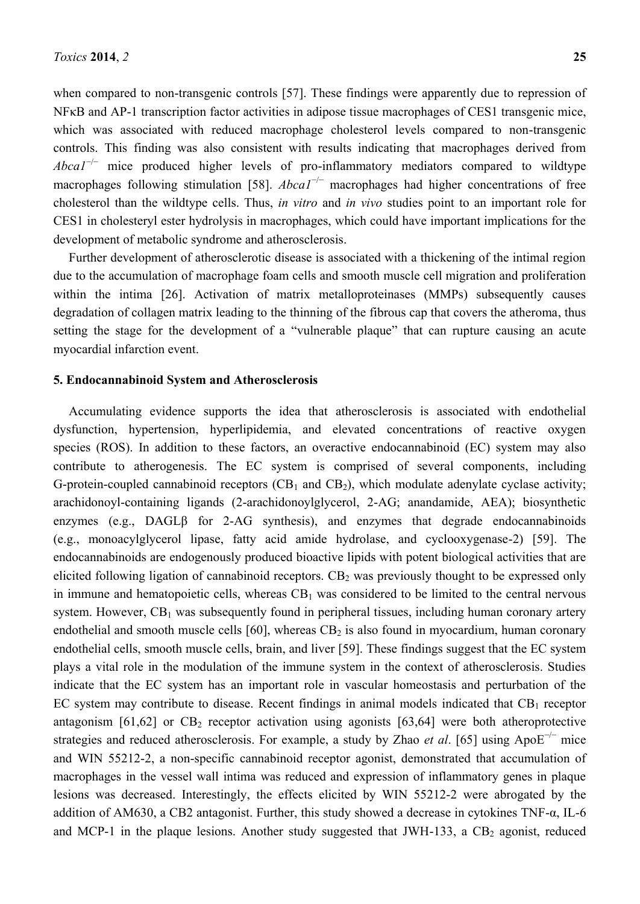when compared to non-transgenic controls [57]. These findings were apparently due to repression of NFκB and AP-1 transcription factor activities in adipose tissue macrophages of CES1 transgenic mice, which was associated with reduced macrophage cholesterol levels compared to non-transgenic controls. This finding was also consistent with results indicating that macrophages derived from *Abca1<sup>-/-</sup>* mice produced higher levels of pro-inflammatory mediators compared to wildtype macrophages following stimulation [58]. *Abca1<sup>-/−</sup>* macrophages had higher concentrations of free cholesterol than the wildtype cells. Thus, *in vitro* and *in vivo* studies point to an important role for CES1 in cholesteryl ester hydrolysis in macrophages, which could have important implications for the development of metabolic syndrome and atherosclerosis.

Further development of atherosclerotic disease is associated with a thickening of the intimal region due to the accumulation of macrophage foam cells and smooth muscle cell migration and proliferation within the intima [26]. Activation of matrix metalloproteinases (MMPs) subsequently causes degradation of collagen matrix leading to the thinning of the fibrous cap that covers the atheroma, thus setting the stage for the development of a "vulnerable plaque" that can rupture causing an acute myocardial infarction event.

### **5. Endocannabinoid System and Atherosclerosis**

Accumulating evidence supports the idea that atherosclerosis is associated with endothelial dysfunction, hypertension, hyperlipidemia, and elevated concentrations of reactive oxygen species (ROS). In addition to these factors, an overactive endocannabinoid (EC) system may also contribute to atherogenesis. The EC system is comprised of several components, including G-protein-coupled cannabinoid receptors  $(CB_1$  and  $CB_2)$ , which modulate adenylate cyclase activity; arachidonoyl-containing ligands (2-arachidonoylglycerol, 2-AG; anandamide, AEA); biosynthetic enzymes (e.g., DAGLβ for 2-AG synthesis), and enzymes that degrade endocannabinoids (e.g., monoacylglycerol lipase, fatty acid amide hydrolase, and cyclooxygenase-2) [59]. The endocannabinoids are endogenously produced bioactive lipids with potent biological activities that are elicited following ligation of cannabinoid receptors.  $CB<sub>2</sub>$  was previously thought to be expressed only in immune and hematopoietic cells, whereas  $CB<sub>1</sub>$  was considered to be limited to the central nervous system. However,  $CB_1$  was subsequently found in peripheral tissues, including human coronary artery endothelial and smooth muscle cells  $[60]$ , whereas  $CB_2$  is also found in myocardium, human coronary endothelial cells, smooth muscle cells, brain, and liver [59]. These findings suggest that the EC system plays a vital role in the modulation of the immune system in the context of atherosclerosis. Studies indicate that the EC system has an important role in vascular homeostasis and perturbation of the EC system may contribute to disease. Recent findings in animal models indicated that  $CB<sub>1</sub>$  receptor antagonism  $[61,62]$  or  $CB_2$  receptor activation using agonists  $[63,64]$  were both atheroprotective strategies and reduced atherosclerosis. For example, a study by Zhao *et al*. [65] using ApoE−/− mice and WIN 55212-2, a non-specific cannabinoid receptor agonist, demonstrated that accumulation of macrophages in the vessel wall intima was reduced and expression of inflammatory genes in plaque lesions was decreased. Interestingly, the effects elicited by WIN 55212-2 were abrogated by the addition of AM630, a CB2 antagonist. Further, this study showed a decrease in cytokines TNF-α, IL-6 and MCP-1 in the plaque lesions. Another study suggested that JWH-133, a  $CB<sub>2</sub>$  agonist, reduced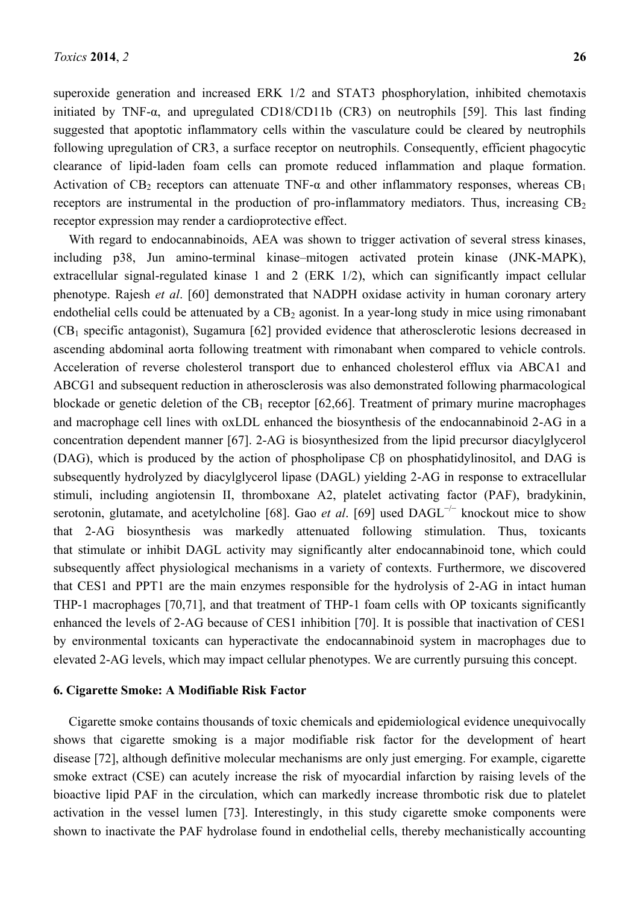superoxide generation and increased ERK 1/2 and STAT3 phosphorylation, inhibited chemotaxis initiated by TNF-α, and upregulated CD18/CD11b (CR3) on neutrophils [59]. This last finding suggested that apoptotic inflammatory cells within the vasculature could be cleared by neutrophils following upregulation of CR3, a surface receptor on neutrophils. Consequently, efficient phagocytic clearance of lipid-laden foam cells can promote reduced inflammation and plaque formation. Activation of CB<sub>2</sub> receptors can attenuate TNF- $\alpha$  and other inflammatory responses, whereas CB<sub>1</sub> receptors are instrumental in the production of pro-inflammatory mediators. Thus, increasing  $CB<sub>2</sub>$ receptor expression may render a cardioprotective effect.

With regard to endocannabinoids, AEA was shown to trigger activation of several stress kinases, including p38, Jun amino-terminal kinase–mitogen activated protein kinase (JNK-MAPK), extracellular signal-regulated kinase 1 and 2 (ERK 1/2), which can significantly impact cellular phenotype. Rajesh *et al*. [60] demonstrated that NADPH oxidase activity in human coronary artery endothelial cells could be attenuated by a  $CB<sub>2</sub>$  agonist. In a year-long study in mice using rimonabant  $(CB<sub>1</sub>$  specific antagonist), Sugamura [62] provided evidence that atherosclerotic lesions decreased in ascending abdominal aorta following treatment with rimonabant when compared to vehicle controls. Acceleration of reverse cholesterol transport due to enhanced cholesterol efflux via ABCA1 and ABCG1 and subsequent reduction in atherosclerosis was also demonstrated following pharmacological blockade or genetic deletion of the  $CB_1$  receptor [62,66]. Treatment of primary murine macrophages and macrophage cell lines with oxLDL enhanced the biosynthesis of the endocannabinoid 2-AG in a concentration dependent manner [67]. 2-AG is biosynthesized from the lipid precursor diacylglycerol (DAG), which is produced by the action of phospholipase Cβ on phosphatidylinositol, and DAG is subsequently hydrolyzed by diacylglycerol lipase (DAGL) yielding 2-AG in response to extracellular stimuli, including angiotensin II, thromboxane A2, platelet activating factor (PAF), bradykinin, serotonin, glutamate, and acetylcholine [68]. Gao *et al.* [69] used DAGL<sup>-/−</sup> knockout mice to show that 2-AG biosynthesis was markedly attenuated following stimulation. Thus, toxicants that stimulate or inhibit DAGL activity may significantly alter endocannabinoid tone, which could subsequently affect physiological mechanisms in a variety of contexts. Furthermore, we discovered that CES1 and PPT1 are the main enzymes responsible for the hydrolysis of 2-AG in intact human THP-1 macrophages [70,71], and that treatment of THP-1 foam cells with OP toxicants significantly enhanced the levels of 2-AG because of CES1 inhibition [70]. It is possible that inactivation of CES1 by environmental toxicants can hyperactivate the endocannabinoid system in macrophages due to elevated 2-AG levels, which may impact cellular phenotypes. We are currently pursuing this concept.

#### **6. Cigarette Smoke: A Modifiable Risk Factor**

Cigarette smoke contains thousands of toxic chemicals and epidemiological evidence unequivocally shows that cigarette smoking is a major modifiable risk factor for the development of heart disease [72], although definitive molecular mechanisms are only just emerging. For example, cigarette smoke extract (CSE) can acutely increase the risk of myocardial infarction by raising levels of the bioactive lipid PAF in the circulation, which can markedly increase thrombotic risk due to platelet activation in the vessel lumen [73]. Interestingly, in this study cigarette smoke components were shown to inactivate the PAF hydrolase found in endothelial cells, thereby mechanistically accounting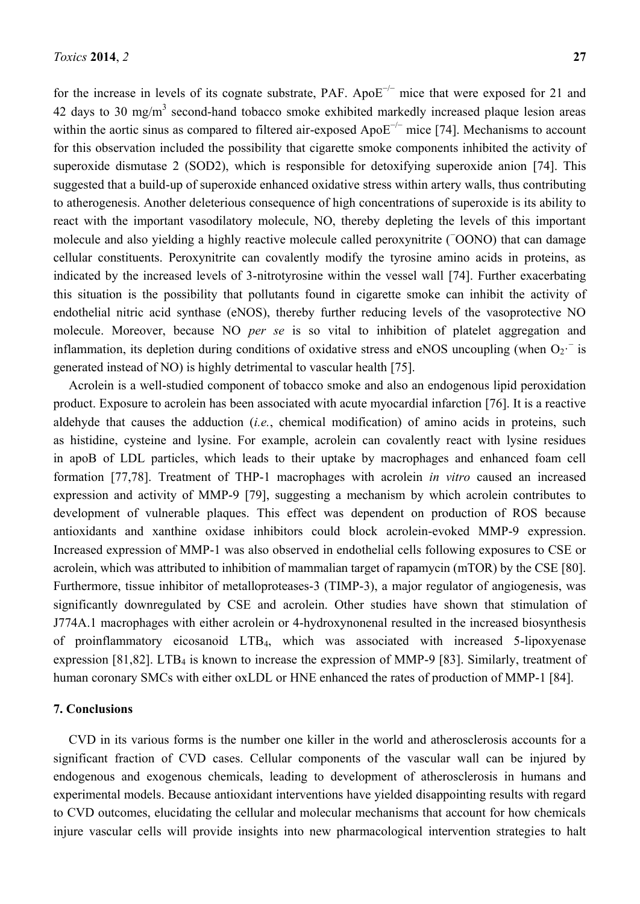for the increase in levels of its cognate substrate, PAF. Apo $E^{-/-}$  mice that were exposed for 21 and 42 days to 30 mg/m<sup>3</sup> second-hand tobacco smoke exhibited markedly increased plaque lesion areas within the aortic sinus as compared to filtered air-exposed ApoE<sup>-/−</sup> mice [74]. Mechanisms to account for this observation included the possibility that cigarette smoke components inhibited the activity of superoxide dismutase 2 (SOD2), which is responsible for detoxifying superoxide anion [74]. This suggested that a build-up of superoxide enhanced oxidative stress within artery walls, thus contributing to atherogenesis. Another deleterious consequence of high concentrations of superoxide is its ability to react with the important vasodilatory molecule, NO, thereby depleting the levels of this important molecule and also yielding a highly reactive molecule called peroxynitrite (<sup>−</sup>OONO) that can damage cellular constituents. Peroxynitrite can covalently modify the tyrosine amino acids in proteins, as indicated by the increased levels of 3-nitrotyrosine within the vessel wall [74]. Further exacerbating this situation is the possibility that pollutants found in cigarette smoke can inhibit the activity of endothelial nitric acid synthase (eNOS), thereby further reducing levels of the vasoprotective NO molecule. Moreover, because NO *per se* is so vital to inhibition of platelet aggregation and inflammation, its depletion during conditions of oxidative stress and eNOS uncoupling (when  $O_2$ <sup>-</sup> is generated instead of NO) is highly detrimental to vascular health [75].

Acrolein is a well-studied component of tobacco smoke and also an endogenous lipid peroxidation product. Exposure to acrolein has been associated with acute myocardial infarction [76]. It is a reactive aldehyde that causes the adduction (*i.e.*, chemical modification) of amino acids in proteins, such as histidine, cysteine and lysine. For example, acrolein can covalently react with lysine residues in apoB of LDL particles, which leads to their uptake by macrophages and enhanced foam cell formation [77,78]. Treatment of THP-1 macrophages with acrolein *in vitro* caused an increased expression and activity of MMP-9 [79], suggesting a mechanism by which acrolein contributes to development of vulnerable plaques. This effect was dependent on production of ROS because antioxidants and xanthine oxidase inhibitors could block acrolein-evoked MMP-9 expression. Increased expression of MMP-1 was also observed in endothelial cells following exposures to CSE or acrolein, which was attributed to inhibition of mammalian target of rapamycin (mTOR) by the CSE [80]. Furthermore, tissue inhibitor of metalloproteases-3 (TIMP-3), a major regulator of angiogenesis, was significantly downregulated by CSE and acrolein. Other studies have shown that stimulation of J774A.1 macrophages with either acrolein or 4-hydroxynonenal resulted in the increased biosynthesis of proinflammatory eicosanoid LTB4, which was associated with increased 5-lipoxyenase expression [81,82]. LTB<sup>4</sup> is known to increase the expression of MMP-9 [83]. Similarly, treatment of human coronary SMCs with either oxLDL or HNE enhanced the rates of production of MMP-1 [84].

### **7. Conclusions**

CVD in its various forms is the number one killer in the world and atherosclerosis accounts for a significant fraction of CVD cases. Cellular components of the vascular wall can be injured by endogenous and exogenous chemicals, leading to development of atherosclerosis in humans and experimental models. Because antioxidant interventions have yielded disappointing results with regard to CVD outcomes, elucidating the cellular and molecular mechanisms that account for how chemicals injure vascular cells will provide insights into new pharmacological intervention strategies to halt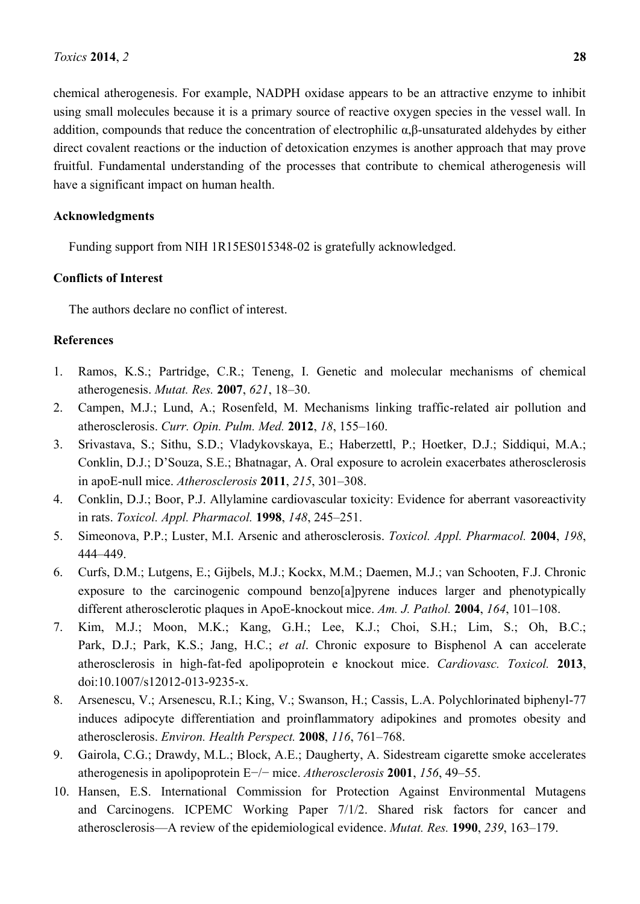chemical atherogenesis. For example, NADPH oxidase appears to be an attractive enzyme to inhibit using small molecules because it is a primary source of reactive oxygen species in the vessel wall. In addition, compounds that reduce the concentration of electrophilic α,β-unsaturated aldehydes by either direct covalent reactions or the induction of detoxication enzymes is another approach that may prove fruitful. Fundamental understanding of the processes that contribute to chemical atherogenesis will have a significant impact on human health.

## **Acknowledgments**

Funding support from NIH 1R15ES015348-02 is gratefully acknowledged.

## **Conflicts of Interest**

The authors declare no conflict of interest.

## **References**

- 1. Ramos, K.S.; Partridge, C.R.; Teneng, I. Genetic and molecular mechanisms of chemical atherogenesis. *Mutat. Res.* **2007**, *621*, 18–30.
- 2. Campen, M.J.; Lund, A.; Rosenfeld, M. Mechanisms linking traffic-related air pollution and atherosclerosis. *Curr. Opin. Pulm. Med.* **2012**, *18*, 155–160.
- 3. Srivastava, S.; Sithu, S.D.; Vladykovskaya, E.; Haberzettl, P.; Hoetker, D.J.; Siddiqui, M.A.; Conklin, D.J.; D'Souza, S.E.; Bhatnagar, A. Oral exposure to acrolein exacerbates atherosclerosis in apoE-null mice. *Atherosclerosis* **2011**, *215*, 301–308.
- 4. Conklin, D.J.; Boor, P.J. Allylamine cardiovascular toxicity: Evidence for aberrant vasoreactivity in rats. *Toxicol. Appl. Pharmacol.* **1998**, *148*, 245–251.
- 5. Simeonova, P.P.; Luster, M.I. Arsenic and atherosclerosis. *Toxicol. Appl. Pharmacol.* **2004**, *198*, 444–449.
- 6. Curfs, D.M.; Lutgens, E.; Gijbels, M.J.; Kockx, M.M.; Daemen, M.J.; van Schooten, F.J. Chronic exposure to the carcinogenic compound benzo[a]pyrene induces larger and phenotypically different atherosclerotic plaques in ApoE-knockout mice. *Am. J. Pathol.* **2004**, *164*, 101–108.
- 7. Kim, M.J.; Moon, M.K.; Kang, G.H.; Lee, K.J.; Choi, S.H.; Lim, S.; Oh, B.C.; Park, D.J.; Park, K.S.; Jang, H.C.; *et al*. Chronic exposure to Bisphenol A can accelerate atherosclerosis in high-fat-fed apolipoprotein e knockout mice. *Cardiovasc. Toxicol.* **2013**, doi:10.1007/s12012-013-9235-x.
- 8. Arsenescu, V.; Arsenescu, R.I.; King, V.; Swanson, H.; Cassis, L.A. Polychlorinated biphenyl-77 induces adipocyte differentiation and proinflammatory adipokines and promotes obesity and atherosclerosis. *Environ. Health Perspect.* **2008**, *116*, 761–768.
- 9. Gairola, C.G.; Drawdy, M.L.; Block, A.E.; Daugherty, A. Sidestream cigarette smoke accelerates atherogenesis in apolipoprotein E−/− mice. *Atherosclerosis* **2001**, *156*, 49–55.
- 10. Hansen, E.S. International Commission for Protection Against Environmental Mutagens and Carcinogens. ICPEMC Working Paper 7/1/2. Shared risk factors for cancer and atherosclerosis—A review of the epidemiological evidence. *Mutat. Res.* **1990**, *239*, 163–179.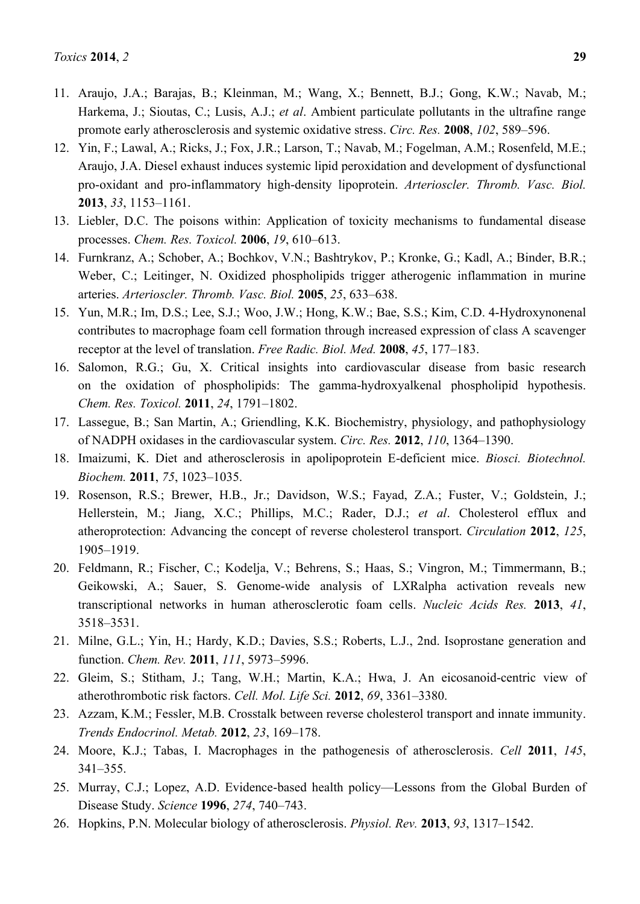- 11. Araujo, J.A.; Barajas, B.; Kleinman, M.; Wang, X.; Bennett, B.J.; Gong, K.W.; Navab, M.; Harkema, J.; Sioutas, C.; Lusis, A.J.; *et al*. Ambient particulate pollutants in the ultrafine range promote early atherosclerosis and systemic oxidative stress. *Circ. Res.* **2008**, *102*, 589–596.
- 12. Yin, F.; Lawal, A.; Ricks, J.; Fox, J.R.; Larson, T.; Navab, M.; Fogelman, A.M.; Rosenfeld, M.E.; Araujo, J.A. Diesel exhaust induces systemic lipid peroxidation and development of dysfunctional pro-oxidant and pro-inflammatory high-density lipoprotein. *Arterioscler. Thromb. Vasc. Biol.* **2013**, *33*, 1153–1161.
- 13. Liebler, D.C. The poisons within: Application of toxicity mechanisms to fundamental disease processes. *Chem. Res. Toxicol.* **2006**, *19*, 610–613.
- 14. Furnkranz, A.; Schober, A.; Bochkov, V.N.; Bashtrykov, P.; Kronke, G.; Kadl, A.; Binder, B.R.; Weber, C.; Leitinger, N. Oxidized phospholipids trigger atherogenic inflammation in murine arteries. *Arterioscler. Thromb. Vasc. Biol.* **2005**, *25*, 633–638.
- 15. Yun, M.R.; Im, D.S.; Lee, S.J.; Woo, J.W.; Hong, K.W.; Bae, S.S.; Kim, C.D. 4-Hydroxynonenal contributes to macrophage foam cell formation through increased expression of class A scavenger receptor at the level of translation. *Free Radic. Biol. Med.* **2008**, *45*, 177–183.
- 16. Salomon, R.G.; Gu, X. Critical insights into cardiovascular disease from basic research on the oxidation of phospholipids: The gamma-hydroxyalkenal phospholipid hypothesis. *Chem. Res. Toxicol.* **2011**, *24*, 1791–1802.
- 17. Lassegue, B.; San Martin, A.; Griendling, K.K. Biochemistry, physiology, and pathophysiology of NADPH oxidases in the cardiovascular system. *Circ. Res.* **2012**, *110*, 1364–1390.
- 18. Imaizumi, K. Diet and atherosclerosis in apolipoprotein E-deficient mice. *Biosci. Biotechnol. Biochem.* **2011**, *75*, 1023–1035.
- 19. Rosenson, R.S.; Brewer, H.B., Jr.; Davidson, W.S.; Fayad, Z.A.; Fuster, V.; Goldstein, J.; Hellerstein, M.; Jiang, X.C.; Phillips, M.C.; Rader, D.J.; *et al*. Cholesterol efflux and atheroprotection: Advancing the concept of reverse cholesterol transport. *Circulation* **2012**, *125*, 1905–1919.
- 20. Feldmann, R.; Fischer, C.; Kodelja, V.; Behrens, S.; Haas, S.; Vingron, M.; Timmermann, B.; Geikowski, A.; Sauer, S. Genome-wide analysis of LXRalpha activation reveals new transcriptional networks in human atherosclerotic foam cells. *Nucleic Acids Res.* **2013**, *41*, 3518–3531.
- 21. Milne, G.L.; Yin, H.; Hardy, K.D.; Davies, S.S.; Roberts, L.J., 2nd. Isoprostane generation and function. *Chem. Rev.* **2011**, *111*, 5973–5996.
- 22. Gleim, S.; Stitham, J.; Tang, W.H.; Martin, K.A.; Hwa, J. An eicosanoid-centric view of atherothrombotic risk factors. *Cell. Mol. Life Sci.* **2012**, *69*, 3361–3380.
- 23. Azzam, K.M.; Fessler, M.B. Crosstalk between reverse cholesterol transport and innate immunity. *Trends Endocrinol. Metab.* **2012**, *23*, 169–178.
- 24. Moore, K.J.; Tabas, I. Macrophages in the pathogenesis of atherosclerosis. *Cell* **2011**, *145*, 341–355.
- 25. Murray, C.J.; Lopez, A.D. Evidence-based health policy—Lessons from the Global Burden of Disease Study. *Science* **1996**, *274*, 740–743.
- 26. Hopkins, P.N. Molecular biology of atherosclerosis. *Physiol. Rev.* **2013**, *93*, 1317–1542.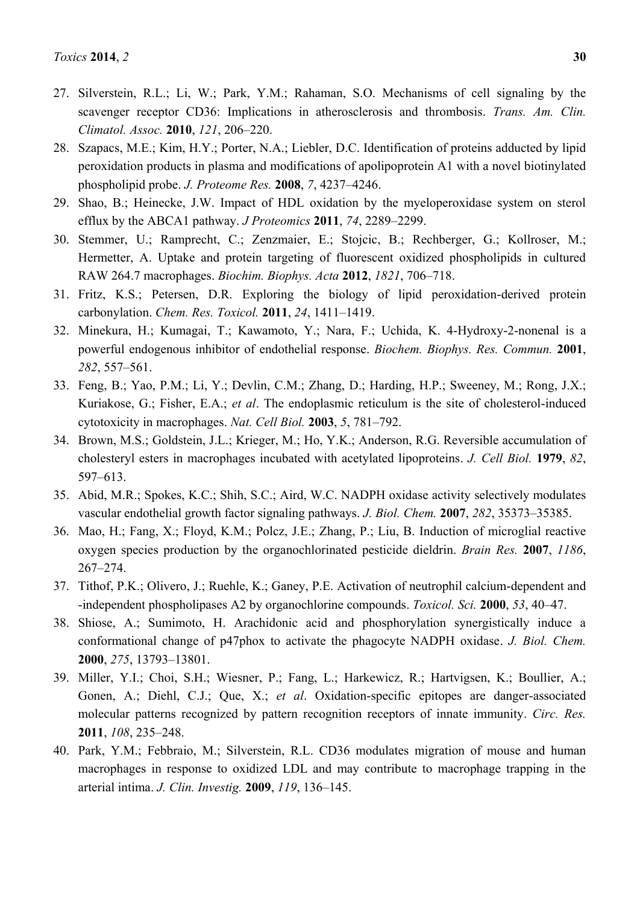- 27. Silverstein, R.L.; Li, W.; Park, Y.M.; Rahaman, S.O. Mechanisms of cell signaling by the scavenger receptor CD36: Implications in atherosclerosis and thrombosis. *Trans. Am. Clin. Climatol. Assoc.* **2010**, *121*, 206–220.
- 28. Szapacs, M.E.; Kim, H.Y.; Porter, N.A.; Liebler, D.C. Identification of proteins adducted by lipid peroxidation products in plasma and modifications of apolipoprotein A1 with a novel biotinylated phospholipid probe. *J. Proteome Res.* **2008**, *7*, 4237–4246.
- 29. Shao, B.; Heinecke, J.W. Impact of HDL oxidation by the myeloperoxidase system on sterol efflux by the ABCA1 pathway. *J Proteomics* **2011**, *74*, 2289–2299.
- 30. Stemmer, U.; Ramprecht, C.; Zenzmaier, E.; Stojcic, B.; Rechberger, G.; Kollroser, M.; Hermetter, A. Uptake and protein targeting of fluorescent oxidized phospholipids in cultured RAW 264.7 macrophages. *Biochim. Biophys. Acta* **2012**, *1821*, 706–718.
- 31. Fritz, K.S.; Petersen, D.R. Exploring the biology of lipid peroxidation-derived protein carbonylation. *Chem. Res. Toxicol.* **2011**, *24*, 1411–1419.
- 32. Minekura, H.; Kumagai, T.; Kawamoto, Y.; Nara, F.; Uchida, K. 4-Hydroxy-2-nonenal is a powerful endogenous inhibitor of endothelial response. *Biochem. Biophys. Res. Commun.* **2001**, *282*, 557–561.
- 33. Feng, B.; Yao, P.M.; Li, Y.; Devlin, C.M.; Zhang, D.; Harding, H.P.; Sweeney, M.; Rong, J.X.; Kuriakose, G.; Fisher, E.A.; *et al*. The endoplasmic reticulum is the site of cholesterol-induced cytotoxicity in macrophages. *Nat. Cell Biol.* **2003**, *5*, 781–792.
- 34. Brown, M.S.; Goldstein, J.L.; Krieger, M.; Ho, Y.K.; Anderson, R.G. Reversible accumulation of cholesteryl esters in macrophages incubated with acetylated lipoproteins. *J. Cell Biol.* **1979**, *82*, 597–613.
- 35. Abid, M.R.; Spokes, K.C.; Shih, S.C.; Aird, W.C. NADPH oxidase activity selectively modulates vascular endothelial growth factor signaling pathways. *J. Biol. Chem.* **2007**, *282*, 35373–35385.
- 36. Mao, H.; Fang, X.; Floyd, K.M.; Polcz, J.E.; Zhang, P.; Liu, B. Induction of microglial reactive oxygen species production by the organochlorinated pesticide dieldrin. *Brain Res.* **2007**, *1186*, 267–274.
- 37. Tithof, P.K.; Olivero, J.; Ruehle, K.; Ganey, P.E. Activation of neutrophil calcium-dependent and -independent phospholipases A2 by organochlorine compounds. *Toxicol. Sci.* **2000**, *53*, 40–47.
- 38. Shiose, A.; Sumimoto, H. Arachidonic acid and phosphorylation synergistically induce a conformational change of p47phox to activate the phagocyte NADPH oxidase. *J. Biol. Chem.* **2000**, *275*, 13793–13801.
- 39. Miller, Y.I.; Choi, S.H.; Wiesner, P.; Fang, L.; Harkewicz, R.; Hartvigsen, K.; Boullier, A.; Gonen, A.; Diehl, C.J.; Que, X.; *et al*. Oxidation-specific epitopes are danger-associated molecular patterns recognized by pattern recognition receptors of innate immunity. *Circ. Res.* **2011**, *108*, 235–248.
- 40. Park, Y.M.; Febbraio, M.; Silverstein, R.L. CD36 modulates migration of mouse and human macrophages in response to oxidized LDL and may contribute to macrophage trapping in the arterial intima. *J. Clin. Investig.* **2009**, *119*, 136–145.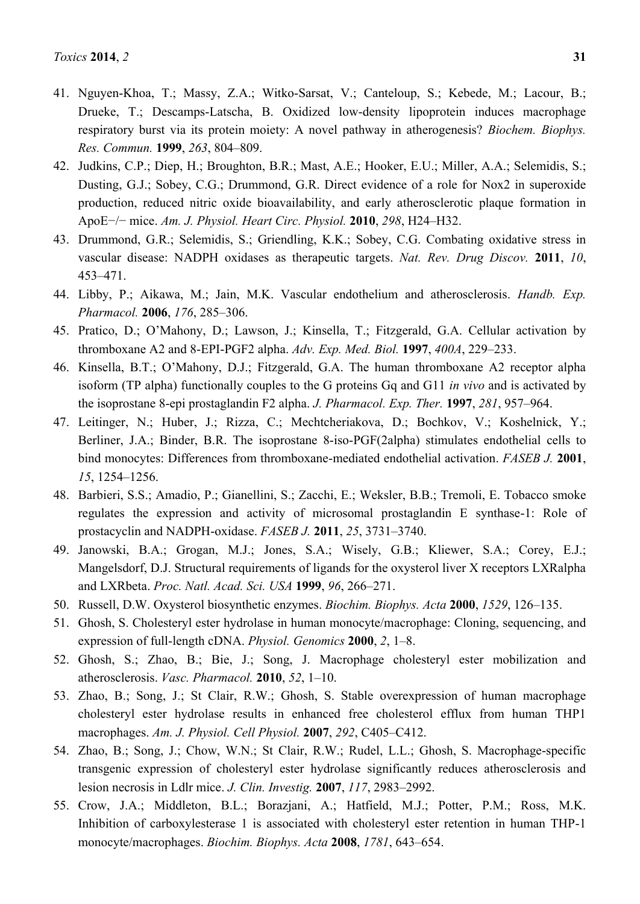- 41. Nguyen-Khoa, T.; Massy, Z.A.; Witko-Sarsat, V.; Canteloup, S.; Kebede, M.; Lacour, B.; Drueke, T.; Descamps-Latscha, B. Oxidized low-density lipoprotein induces macrophage respiratory burst via its protein moiety: A novel pathway in atherogenesis? *Biochem. Biophys. Res. Commun.* **1999**, *263*, 804–809.
- 42. Judkins, C.P.; Diep, H.; Broughton, B.R.; Mast, A.E.; Hooker, E.U.; Miller, A.A.; Selemidis, S.; Dusting, G.J.; Sobey, C.G.; Drummond, G.R. Direct evidence of a role for Nox2 in superoxide production, reduced nitric oxide bioavailability, and early atherosclerotic plaque formation in ApoE−/− mice. *Am. J. Physiol. Heart Circ. Physiol.* **2010**, *298*, H24–H32.
- 43. Drummond, G.R.; Selemidis, S.; Griendling, K.K.; Sobey, C.G. Combating oxidative stress in vascular disease: NADPH oxidases as therapeutic targets. *Nat. Rev. Drug Discov.* **2011**, *10*, 453–471.
- 44. Libby, P.; Aikawa, M.; Jain, M.K. Vascular endothelium and atherosclerosis. *Handb. Exp. Pharmacol.* **2006**, *176*, 285–306.
- 45. Pratico, D.; O'Mahony, D.; Lawson, J.; Kinsella, T.; Fitzgerald, G.A. Cellular activation by thromboxane A2 and 8-EPI-PGF2 alpha. *Adv. Exp. Med. Biol.* **1997**, *400A*, 229–233.
- 46. Kinsella, B.T.; O'Mahony, D.J.; Fitzgerald, G.A. The human thromboxane A2 receptor alpha isoform (TP alpha) functionally couples to the G proteins Gq and G11 *in vivo* and is activated by the isoprostane 8-epi prostaglandin F2 alpha. *J. Pharmacol. Exp. Ther.* **1997**, *281*, 957–964.
- 47. Leitinger, N.; Huber, J.; Rizza, C.; Mechtcheriakova, D.; Bochkov, V.; Koshelnick, Y.; Berliner, J.A.; Binder, B.R. The isoprostane 8-iso-PGF(2alpha) stimulates endothelial cells to bind monocytes: Differences from thromboxane-mediated endothelial activation. *FASEB J.* **2001**, *15*, 1254–1256.
- 48. Barbieri, S.S.; Amadio, P.; Gianellini, S.; Zacchi, E.; Weksler, B.B.; Tremoli, E. Tobacco smoke regulates the expression and activity of microsomal prostaglandin E synthase-1: Role of prostacyclin and NADPH-oxidase. *FASEB J.* **2011**, *25*, 3731–3740.
- 49. Janowski, B.A.; Grogan, M.J.; Jones, S.A.; Wisely, G.B.; Kliewer, S.A.; Corey, E.J.; Mangelsdorf, D.J. Structural requirements of ligands for the oxysterol liver X receptors LXRalpha and LXRbeta. *Proc. Natl. Acad. Sci. USA* **1999**, *96*, 266–271.
- 50. Russell, D.W. Oxysterol biosynthetic enzymes. *Biochim. Biophys. Acta* **2000**, *1529*, 126–135.
- 51. Ghosh, S. Cholesteryl ester hydrolase in human monocyte/macrophage: Cloning, sequencing, and expression of full-length cDNA. *Physiol. Genomics* **2000**, *2*, 1–8.
- 52. Ghosh, S.; Zhao, B.; Bie, J.; Song, J. Macrophage cholesteryl ester mobilization and atherosclerosis. *Vasc. Pharmacol.* **2010**, *52*, 1–10.
- 53. Zhao, B.; Song, J.; St Clair, R.W.; Ghosh, S. Stable overexpression of human macrophage cholesteryl ester hydrolase results in enhanced free cholesterol efflux from human THP1 macrophages. *Am. J. Physiol. Cell Physiol.* **2007**, *292*, C405–C412.
- 54. Zhao, B.; Song, J.; Chow, W.N.; St Clair, R.W.; Rudel, L.L.; Ghosh, S. Macrophage-specific transgenic expression of cholesteryl ester hydrolase significantly reduces atherosclerosis and lesion necrosis in Ldlr mice. *J. Clin. Investig.* **2007**, *117*, 2983–2992.
- 55. Crow, J.A.; Middleton, B.L.; Borazjani, A.; Hatfield, M.J.; Potter, P.M.; Ross, M.K. Inhibition of carboxylesterase 1 is associated with cholesteryl ester retention in human THP-1 monocyte/macrophages. *Biochim. Biophys. Acta* **2008**, *1781*, 643–654.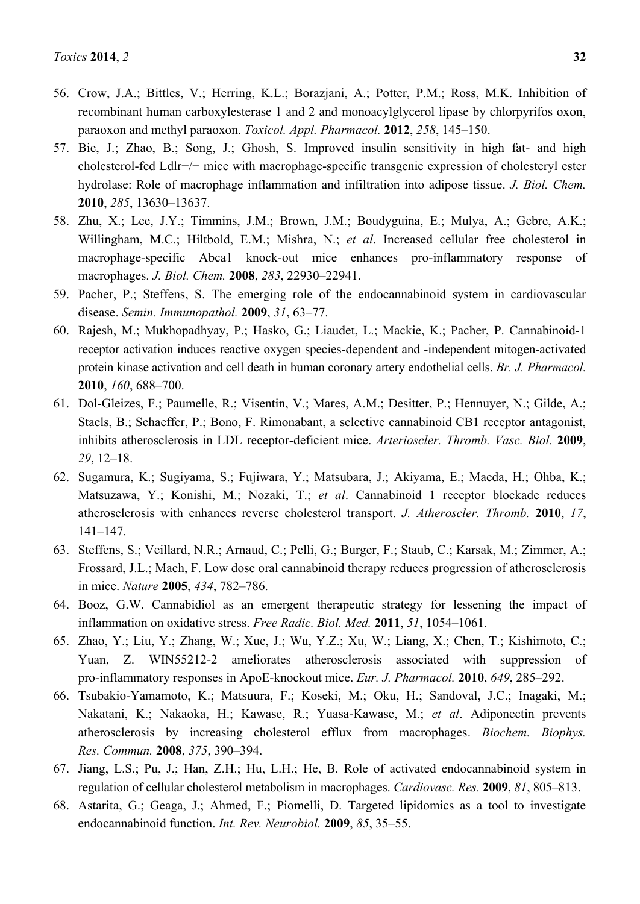- 56. Crow, J.A.; Bittles, V.; Herring, K.L.; Borazjani, A.; Potter, P.M.; Ross, M.K. Inhibition of recombinant human carboxylesterase 1 and 2 and monoacylglycerol lipase by chlorpyrifos oxon, paraoxon and methyl paraoxon. *Toxicol. Appl. Pharmacol.* **2012**, *258*, 145–150.
- 57. Bie, J.; Zhao, B.; Song, J.; Ghosh, S. Improved insulin sensitivity in high fat- and high cholesterol-fed Ldlr−/− mice with macrophage-specific transgenic expression of cholesteryl ester hydrolase: Role of macrophage inflammation and infiltration into adipose tissue. *J. Biol. Chem.* **2010**, *285*, 13630–13637.
- 58. Zhu, X.; Lee, J.Y.; Timmins, J.M.; Brown, J.M.; Boudyguina, E.; Mulya, A.; Gebre, A.K.; Willingham, M.C.; Hiltbold, E.M.; Mishra, N.; *et al*. Increased cellular free cholesterol in macrophage-specific Abca1 knock-out mice enhances pro-inflammatory response of macrophages. *J. Biol. Chem.* **2008**, *283*, 22930–22941.
- 59. Pacher, P.; Steffens, S. The emerging role of the endocannabinoid system in cardiovascular disease. *Semin. Immunopathol.* **2009**, *31*, 63–77.
- 60. Rajesh, M.; Mukhopadhyay, P.; Hasko, G.; Liaudet, L.; Mackie, K.; Pacher, P. Cannabinoid-1 receptor activation induces reactive oxygen species-dependent and -independent mitogen-activated protein kinase activation and cell death in human coronary artery endothelial cells. *Br. J. Pharmacol.* **2010**, *160*, 688–700.
- 61. Dol-Gleizes, F.; Paumelle, R.; Visentin, V.; Mares, A.M.; Desitter, P.; Hennuyer, N.; Gilde, A.; Staels, B.; Schaeffer, P.; Bono, F. Rimonabant, a selective cannabinoid CB1 receptor antagonist, inhibits atherosclerosis in LDL receptor-deficient mice. *Arterioscler. Thromb. Vasc. Biol.* **2009**, *29*, 12–18.
- 62. Sugamura, K.; Sugiyama, S.; Fujiwara, Y.; Matsubara, J.; Akiyama, E.; Maeda, H.; Ohba, K.; Matsuzawa, Y.; Konishi, M.; Nozaki, T.; *et al*. Cannabinoid 1 receptor blockade reduces atherosclerosis with enhances reverse cholesterol transport. *J. Atheroscler. Thromb.* **2010**, *17*, 141–147.
- 63. Steffens, S.; Veillard, N.R.; Arnaud, C.; Pelli, G.; Burger, F.; Staub, C.; Karsak, M.; Zimmer, A.; Frossard, J.L.; Mach, F. Low dose oral cannabinoid therapy reduces progression of atherosclerosis in mice. *Nature* **2005**, *434*, 782–786.
- 64. Booz, G.W. Cannabidiol as an emergent therapeutic strategy for lessening the impact of inflammation on oxidative stress. *Free Radic. Biol. Med.* **2011**, *51*, 1054–1061.
- 65. Zhao, Y.; Liu, Y.; Zhang, W.; Xue, J.; Wu, Y.Z.; Xu, W.; Liang, X.; Chen, T.; Kishimoto, C.; Yuan, Z. WIN55212-2 ameliorates atherosclerosis associated with suppression of pro-inflammatory responses in ApoE-knockout mice. *Eur. J. Pharmacol.* **2010**, *649*, 285–292.
- 66. Tsubakio-Yamamoto, K.; Matsuura, F.; Koseki, M.; Oku, H.; Sandoval, J.C.; Inagaki, M.; Nakatani, K.; Nakaoka, H.; Kawase, R.; Yuasa-Kawase, M.; *et al*. Adiponectin prevents atherosclerosis by increasing cholesterol efflux from macrophages. *Biochem. Biophys. Res. Commun.* **2008**, *375*, 390–394.
- 67. Jiang, L.S.; Pu, J.; Han, Z.H.; Hu, L.H.; He, B. Role of activated endocannabinoid system in regulation of cellular cholesterol metabolism in macrophages. *Cardiovasc. Res.* **2009**, *81*, 805–813.
- 68. Astarita, G.; Geaga, J.; Ahmed, F.; Piomelli, D. Targeted lipidomics as a tool to investigate endocannabinoid function. *Int. Rev. Neurobiol.* **2009**, *85*, 35–55.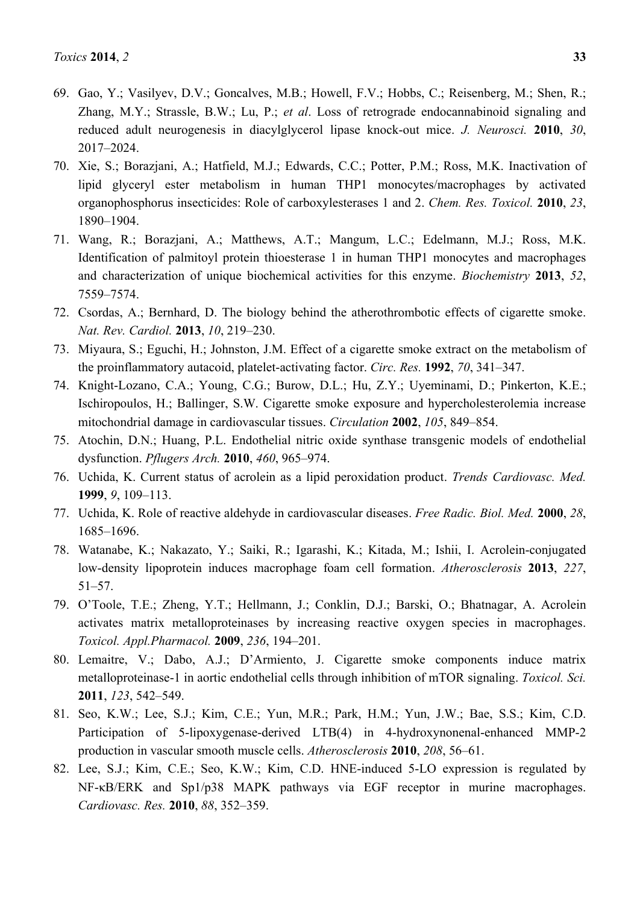- 69. Gao, Y.; Vasilyev, D.V.; Goncalves, M.B.; Howell, F.V.; Hobbs, C.; Reisenberg, M.; Shen, R.; Zhang, M.Y.; Strassle, B.W.; Lu, P.; *et al*. Loss of retrograde endocannabinoid signaling and reduced adult neurogenesis in diacylglycerol lipase knock-out mice. *J. Neurosci.* **2010**, *30*, 2017–2024.
- 70. Xie, S.; Borazjani, A.; Hatfield, M.J.; Edwards, C.C.; Potter, P.M.; Ross, M.K. Inactivation of lipid glyceryl ester metabolism in human THP1 monocytes/macrophages by activated organophosphorus insecticides: Role of carboxylesterases 1 and 2. *Chem. Res. Toxicol.* **2010**, *23*, 1890–1904.
- 71. Wang, R.; Borazjani, A.; Matthews, A.T.; Mangum, L.C.; Edelmann, M.J.; Ross, M.K. Identification of palmitoyl protein thioesterase 1 in human THP1 monocytes and macrophages and characterization of unique biochemical activities for this enzyme. *Biochemistry* **2013**, *52*, 7559–7574.
- 72. Csordas, A.; Bernhard, D. The biology behind the atherothrombotic effects of cigarette smoke. *Nat. Rev. Cardiol.* **2013**, *10*, 219–230.
- 73. Miyaura, S.; Eguchi, H.; Johnston, J.M. Effect of a cigarette smoke extract on the metabolism of the proinflammatory autacoid, platelet-activating factor. *Circ. Res.* **1992**, *70*, 341–347.
- 74. Knight-Lozano, C.A.; Young, C.G.; Burow, D.L.; Hu, Z.Y.; Uyeminami, D.; Pinkerton, K.E.; Ischiropoulos, H.; Ballinger, S.W. Cigarette smoke exposure and hypercholesterolemia increase mitochondrial damage in cardiovascular tissues. *Circulation* **2002**, *105*, 849–854.
- 75. Atochin, D.N.; Huang, P.L. Endothelial nitric oxide synthase transgenic models of endothelial dysfunction. *Pflugers Arch.* **2010**, *460*, 965–974.
- 76. Uchida, K. Current status of acrolein as a lipid peroxidation product. *Trends Cardiovasc. Med.* **1999**, *9*, 109–113.
- 77. Uchida, K. Role of reactive aldehyde in cardiovascular diseases. *Free Radic. Biol. Med.* **2000**, *28*, 1685–1696.
- 78. Watanabe, K.; Nakazato, Y.; Saiki, R.; Igarashi, K.; Kitada, M.; Ishii, I. Acrolein-conjugated low-density lipoprotein induces macrophage foam cell formation. *Atherosclerosis* **2013**, *227*, 51–57.
- 79. O'Toole, T.E.; Zheng, Y.T.; Hellmann, J.; Conklin, D.J.; Barski, O.; Bhatnagar, A. Acrolein activates matrix metalloproteinases by increasing reactive oxygen species in macrophages. *Toxicol. Appl.Pharmacol.* **2009**, *236*, 194–201.
- 80. Lemaitre, V.; Dabo, A.J.; D'Armiento, J. Cigarette smoke components induce matrix metalloproteinase-1 in aortic endothelial cells through inhibition of mTOR signaling. *Toxicol. Sci.* **2011**, *123*, 542–549.
- 81. Seo, K.W.; Lee, S.J.; Kim, C.E.; Yun, M.R.; Park, H.M.; Yun, J.W.; Bae, S.S.; Kim, C.D. Participation of 5-lipoxygenase-derived LTB(4) in 4-hydroxynonenal-enhanced MMP-2 production in vascular smooth muscle cells. *Atherosclerosis* **2010**, *208*, 56–61.
- 82. Lee, S.J.; Kim, C.E.; Seo, K.W.; Kim, C.D. HNE-induced 5-LO expression is regulated by NF-κB/ERK and Sp1/p38 MAPK pathways via EGF receptor in murine macrophages. *Cardiovasc. Res.* **2010**, *88*, 352–359.